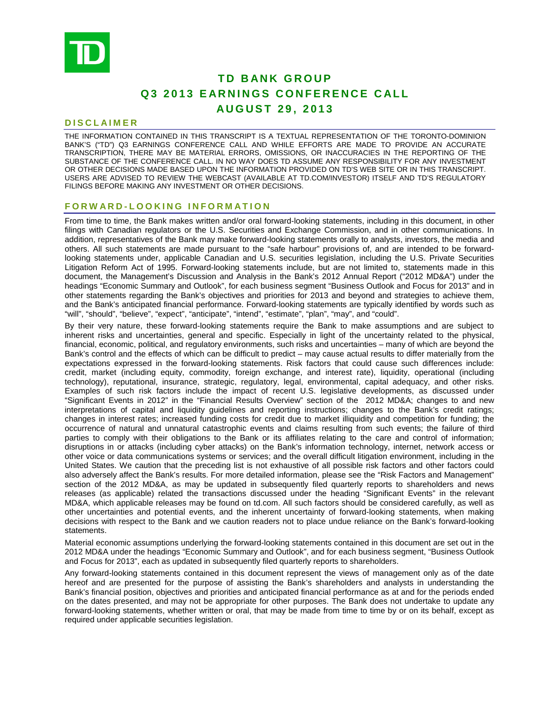

# **TD BANK GROUP Q 3 201 3 EARNINGS CONFERENCE CALL AUGUST 2 9 , 201 3**

# **DISCLAIMER**

THE INFORMATION CONTAINED IN THIS TRANSCRIPT IS A TEXTUAL REPRESENTATION OF THE TORONTO-DOMINION BANK'S ("TD") Q3 EARNINGS CONFERENCE CALL AND WHILE EFFORTS ARE MADE TO PROVIDE AN ACCURATE TRANSCRIPTION, THERE MAY BE MATERIAL ERRORS, OMISSIONS, OR INACCURACIES IN THE REPORTING OF THE SUBSTANCE OF THE CONFERENCE CALL. IN NO WAY DOES TD ASSUME ANY RESPONSIBILITY FOR ANY INVESTMENT OR OTHER DECISIONS MADE BASED UPON THE INFORMATION PROVIDED ON TD'S WEB SITE OR IN THIS TRANSCRIPT. USERS ARE ADVISED TO REVIEW THE WEBCAST (AVAILABLE AT TD.COM/INVESTOR) ITSELF AND TD'S REGULATORY FILINGS BEFORE MAKING ANY INVESTMENT OR OTHER DECISIONS.

### **FORWARD - LOOKING INFORMATION**

From time to time, the Bank makes written and/or oral forward-looking statements, including in this document, in other filings with Canadian regulators or the U.S. Securities and Exchange Commission, and in other communications. In addition, representatives of the Bank may make forward-looking statements orally to analysts, investors, the media and others. All such statements are made pursuant to the "safe harbour" provisions of, and are intended to be forwardlooking statements under, applicable Canadian and U.S. securities legislation, including the U.S. Private Securities Litigation Reform Act of 1995. Forward-looking statements include, but are not limited to, statements made in this document, the Management's Discussion and Analysis in the Bank's 2012 Annual Report ("2012 MD&A") under the headings "Economic Summary and Outlook", for each business segment "Business Outlook and Focus for 2013" and in other statements regarding the Bank's objectives and priorities for 2013 and beyond and strategies to achieve them, and the Bank's anticipated financial performance. Forward-looking statements are typically identified by words such as "will", "should", "believe", "expect", "anticipate", "intend", "estimate", "plan", "may", and "could".

By their very nature, these forward-looking statements require the Bank to make assumptions and are subject to inherent risks and uncertainties, general and specific. Especially in light of the uncertainty related to the physical, financial, economic, political, and regulatory environments, such risks and uncertainties – many of which are beyond the Bank's control and the effects of which can be difficult to predict – may cause actual results to differ materially from the expectations expressed in the forward-looking statements. Risk factors that could cause such differences include: credit, market (including equity, commodity, foreign exchange, and interest rate), liquidity, operational (including technology), reputational, insurance, strategic, regulatory, legal, environmental, capital adequacy, and other risks. Examples of such risk factors include the impact of recent U.S. legislative developments, as discussed under "Significant Events in 2012" in the "Financial Results Overview" section of the 2012 MD&A; changes to and new interpretations of capital and liquidity guidelines and reporting instructions; changes to the Bank's credit ratings; changes in interest rates; increased funding costs for credit due to market illiquidity and competition for funding; the occurrence of natural and unnatural catastrophic events and claims resulting from such events; the failure of third parties to comply with their obligations to the Bank or its affiliates relating to the care and control of information; disruptions in or attacks (including cyber attacks) on the Bank's information technology, internet, network access or other voice or data communications systems or services; and the overall difficult litigation environment, including in the United States. We caution that the preceding list is not exhaustive of all possible risk factors and other factors could also adversely affect the Bank's results. For more detailed information, please see the "Risk Factors and Management" section of the 2012 MD&A, as may be updated in subsequently filed quarterly reports to shareholders and news releases (as applicable) related the transactions discussed under the heading "Significant Events" in the relevant MD&A, which applicable releases may be found on td.com. All such factors should be considered carefully, as well as other uncertainties and potential events, and the inherent uncertainty of forward-looking statements, when making decisions with respect to the Bank and we caution readers not to place undue reliance on the Bank's forward-looking statements.

Material economic assumptions underlying the forward-looking statements contained in this document are set out in the 2012 MD&A under the headings "Economic Summary and Outlook", and for each business segment, "Business Outlook and Focus for 2013", each as updated in subsequently filed quarterly reports to shareholders.

Any forward-looking statements contained in this document represent the views of management only as of the date hereof and are presented for the purpose of assisting the Bank's shareholders and analysts in understanding the Bank's financial position, objectives and priorities and anticipated financial performance as at and for the periods ended on the dates presented, and may not be appropriate for other purposes. The Bank does not undertake to update any forward-looking statements, whether written or oral, that may be made from time to time by or on its behalf, except as required under applicable securities legislation.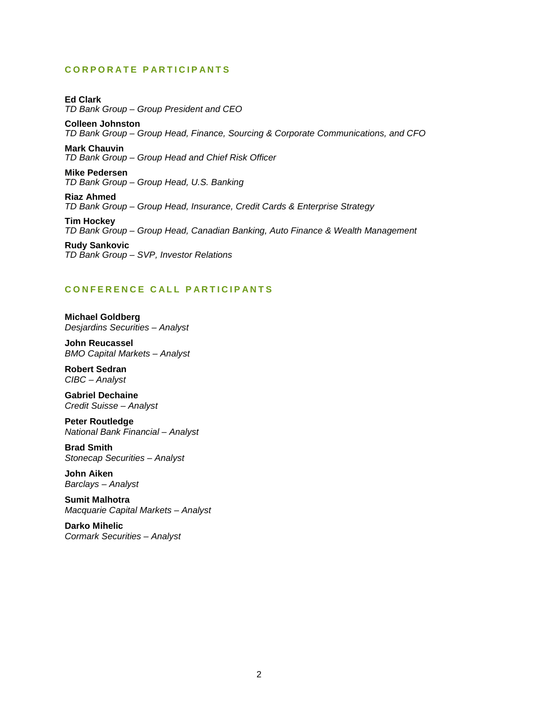# **C ORPORATE PARTICIPANTS**

**Ed Clark** *TD Bank Group – Group President and CEO*

**Colleen Johnston** *TD Bank Group – Group Head, Finance, Sourcing & Corporate Communications, and CFO*

**Mark Chauvin** *TD Bank Group – Group Head and Chief Risk Officer*

**Mike Pedersen** *TD Bank Group – Group Head, U.S. Banking*

*TD Bank Group – Group Head, Insurance, Credit Cards & Enterprise Strategy* **Tim Hockey**

*TD Bank Group – Group Head, Canadian Banking, Auto Finance & Wealth Management*

**Rudy Sankovic** *TD Bank Group – SVP, Investor Relations*

# **CONFERENCE CALL PART ICIPANTS**

**Michael Goldberg** *Desjardins Securities – Analyst* 

**John Reucassel** *BMO Capital Markets – Analyst*

**Robert Sedran** *CIBC – Analyst* 

**Riaz Ahmed**

**Gabriel Dechaine** *Credit Suisse – Analyst* 

**Peter Routledge** *National Bank Financial – Analyst* 

**Brad Smith** *Stonecap Securities – Analyst* 

**John Aiken** *Barclays – Analyst* 

**Sumit Malhotra** *Macquarie Capital Markets – Analyst* 

**Darko Mihelic** *Cormark Securities – Analyst*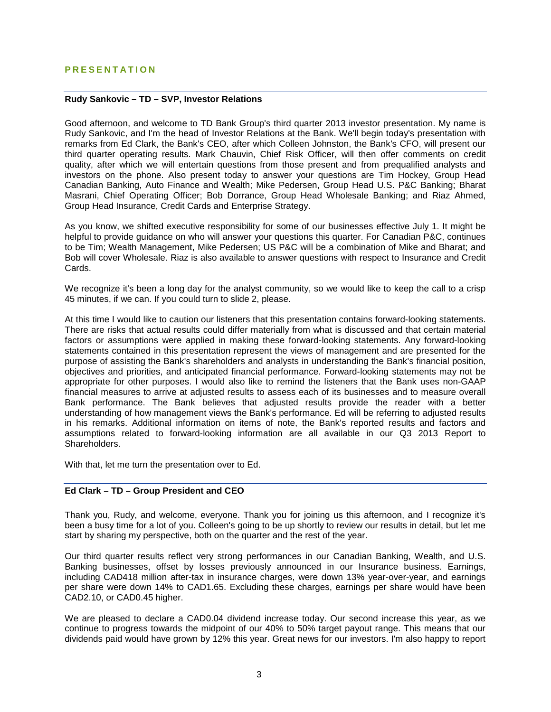# **PRESENTATION**

# **Rudy Sankovic – TD – SVP, Investor Relations**

Good afternoon, and welcome to TD Bank Group's third quarter 2013 investor presentation. My name is Rudy Sankovic, and I'm the head of Investor Relations at the Bank. We'll begin today's presentation with remarks from Ed Clark, the Bank's CEO, after which Colleen Johnston, the Bank's CFO, will present our third quarter operating results. Mark Chauvin, Chief Risk Officer, will then offer comments on credit quality, after which we will entertain questions from those present and from prequalified analysts and investors on the phone. Also present today to answer your questions are Tim Hockey, Group Head Canadian Banking, Auto Finance and Wealth; Mike Pedersen, Group Head U.S. P&C Banking; Bharat Masrani, Chief Operating Officer; Bob Dorrance, Group Head Wholesale Banking; and Riaz Ahmed, Group Head Insurance, Credit Cards and Enterprise Strategy.

As you know, we shifted executive responsibility for some of our businesses effective July 1. It might be helpful to provide guidance on who will answer your questions this quarter. For Canadian P&C, continues to be Tim; Wealth Management, Mike Pedersen; US P&C will be a combination of Mike and Bharat; and Bob will cover Wholesale. Riaz is also available to answer questions with respect to Insurance and Credit Cards.

We recognize it's been a long day for the analyst community, so we would like to keep the call to a crisp 45 minutes, if we can. If you could turn to slide 2, please.

At this time I would like to caution our listeners that this presentation contains forward-looking statements. There are risks that actual results could differ materially from what is discussed and that certain material factors or assumptions were applied in making these forward-looking statements. Any forward-looking statements contained in this presentation represent the views of management and are presented for the purpose of assisting the Bank's shareholders and analysts in understanding the Bank's financial position, objectives and priorities, and anticipated financial performance. Forward-looking statements may not be appropriate for other purposes. I would also like to remind the listeners that the Bank uses non-GAAP financial measures to arrive at adjusted results to assess each of its businesses and to measure overall Bank performance. The Bank believes that adjusted results provide the reader with a better understanding of how management views the Bank's performance. Ed will be referring to adjusted results in his remarks. Additional information on items of note, the Bank's reported results and factors and assumptions related to forward-looking information are all available in our Q3 2013 Report to Shareholders.

With that, let me turn the presentation over to Ed.

### **Ed Clark – TD – Group President and CEO**

Thank you, Rudy, and welcome, everyone. Thank you for joining us this afternoon, and I recognize it's been a busy time for a lot of you. Colleen's going to be up shortly to review our results in detail, but let me start by sharing my perspective, both on the quarter and the rest of the year.

Our third quarter results reflect very strong performances in our Canadian Banking, Wealth, and U.S. Banking businesses, offset by losses previously announced in our Insurance business. Earnings, including CAD418 million after-tax in insurance charges, were down 13% year-over-year, and earnings per share were down 14% to CAD1.65. Excluding these charges, earnings per share would have been CAD2.10, or CAD0.45 higher.

We are pleased to declare a CAD0.04 dividend increase today. Our second increase this year, as we continue to progress towards the midpoint of our 40% to 50% target payout range. This means that our dividends paid would have grown by 12% this year. Great news for our investors. I'm also happy to report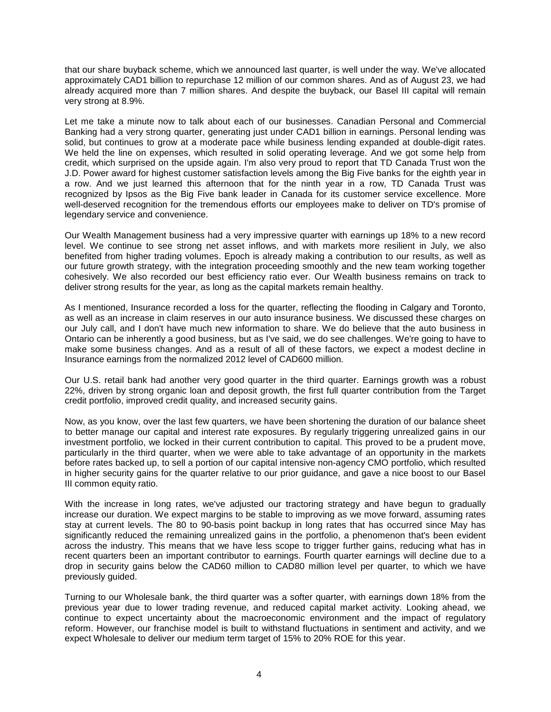that our share buyback scheme, which we announced last quarter, is well under the way. We've allocated approximately CAD1 billion to repurchase 12 million of our common shares. And as of August 23, we had already acquired more than 7 million shares. And despite the buyback, our Basel III capital will remain very strong at 8.9%.

Let me take a minute now to talk about each of our businesses. Canadian Personal and Commercial Banking had a very strong quarter, generating just under CAD1 billion in earnings. Personal lending was solid, but continues to grow at a moderate pace while business lending expanded at double-digit rates. We held the line on expenses, which resulted in solid operating leverage. And we got some help from credit, which surprised on the upside again. I'm also very proud to report that TD Canada Trust won the J.D. Power award for highest customer satisfaction levels among the Big Five banks for the eighth year in a row. And we just learned this afternoon that for the ninth year in a row, TD Canada Trust was recognized by Ipsos as the Big Five bank leader in Canada for its customer service excellence. More well-deserved recognition for the tremendous efforts our employees make to deliver on TD's promise of legendary service and convenience.

Our Wealth Management business had a very impressive quarter with earnings up 18% to a new record level. We continue to see strong net asset inflows, and with markets more resilient in July, we also benefited from higher trading volumes. Epoch is already making a contribution to our results, as well as our future growth strategy, with the integration proceeding smoothly and the new team working together cohesively. We also recorded our best efficiency ratio ever. Our Wealth business remains on track to deliver strong results for the year, as long as the capital markets remain healthy.

As I mentioned, Insurance recorded a loss for the quarter, reflecting the flooding in Calgary and Toronto, as well as an increase in claim reserves in our auto insurance business. We discussed these charges on our July call, and I don't have much new information to share. We do believe that the auto business in Ontario can be inherently a good business, but as I've said, we do see challenges. We're going to have to make some business changes. And as a result of all of these factors, we expect a modest decline in Insurance earnings from the normalized 2012 level of CAD600 million.

Our U.S. retail bank had another very good quarter in the third quarter. Earnings growth was a robust 22%, driven by strong organic loan and deposit growth, the first full quarter contribution from the Target credit portfolio, improved credit quality, and increased security gains.

Now, as you know, over the last few quarters, we have been shortening the duration of our balance sheet to better manage our capital and interest rate exposures. By regularly triggering unrealized gains in our investment portfolio, we locked in their current contribution to capital. This proved to be a prudent move, particularly in the third quarter, when we were able to take advantage of an opportunity in the markets before rates backed up, to sell a portion of our capital intensive non-agency CMO portfolio, which resulted in higher security gains for the quarter relative to our prior guidance, and gave a nice boost to our Basel III common equity ratio.

With the increase in long rates, we've adjusted our tractoring strategy and have begun to gradually increase our duration. We expect margins to be stable to improving as we move forward, assuming rates stay at current levels. The 80 to 90-basis point backup in long rates that has occurred since May has significantly reduced the remaining unrealized gains in the portfolio, a phenomenon that's been evident across the industry. This means that we have less scope to trigger further gains, reducing what has in recent quarters been an important contributor to earnings. Fourth quarter earnings will decline due to a drop in security gains below the CAD60 million to CAD80 million level per quarter, to which we have previously guided.

Turning to our Wholesale bank, the third quarter was a softer quarter, with earnings down 18% from the previous year due to lower trading revenue, and reduced capital market activity. Looking ahead, we continue to expect uncertainty about the macroeconomic environment and the impact of regulatory reform. However, our franchise model is built to withstand fluctuations in sentiment and activity, and we expect Wholesale to deliver our medium term target of 15% to 20% ROE for this year.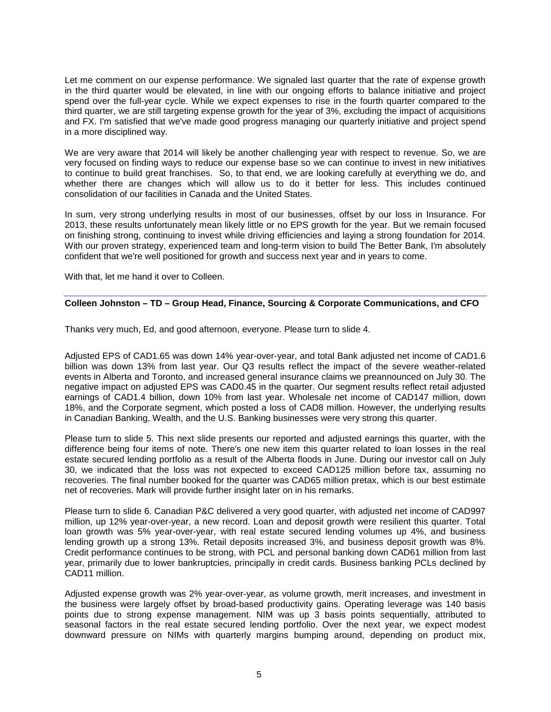Let me comment on our expense performance. We signaled last quarter that the rate of expense growth in the third quarter would be elevated, in line with our ongoing efforts to balance initiative and project spend over the full-year cycle. While we expect expenses to rise in the fourth quarter compared to the third quarter, we are still targeting expense growth for the year of 3%, excluding the impact of acquisitions and FX. I'm satisfied that we've made good progress managing our quarterly initiative and project spend in a more disciplined way.

We are very aware that 2014 will likely be another challenging year with respect to revenue. So, we are very focused on finding ways to reduce our expense base so we can continue to invest in new initiatives to continue to build great franchises. So, to that end, we are looking carefully at everything we do, and whether there are changes which will allow us to do it better for less. This includes continued consolidation of our facilities in Canada and the United States.

In sum, very strong underlying results in most of our businesses, offset by our loss in Insurance. For 2013, these results unfortunately mean likely little or no EPS growth for the year. But we remain focused on finishing strong, continuing to invest while driving efficiencies and laying a strong foundation for 2014. With our proven strategy, experienced team and long-term vision to build The Better Bank, I'm absolutely confident that we're well positioned for growth and success next year and in years to come.

With that, let me hand it over to Colleen.

# **Colleen Johnston – TD – Group Head, Finance, Sourcing & Corporate Communications, and CFO**

Thanks very much, Ed, and good afternoon, everyone. Please turn to slide 4.

Adjusted EPS of CAD1.65 was down 14% year-over-year, and total Bank adjusted net income of CAD1.6 billion was down 13% from last year. Our Q3 results reflect the impact of the severe weather-related events in Alberta and Toronto, and increased general insurance claims we preannounced on July 30. The negative impact on adjusted EPS was CAD0.45 in the quarter. Our segment results reflect retail adjusted earnings of CAD1.4 billion, down 10% from last year. Wholesale net income of CAD147 million, down 18%, and the Corporate segment, which posted a loss of CAD8 million. However, the underlying results in Canadian Banking, Wealth, and the U.S. Banking businesses were very strong this quarter.

Please turn to slide 5. This next slide presents our reported and adjusted earnings this quarter, with the difference being four items of note. There's one new item this quarter related to loan losses in the real estate secured lending portfolio as a result of the Alberta floods in June. During our investor call on July 30, we indicated that the loss was not expected to exceed CAD125 million before tax, assuming no recoveries. The final number booked for the quarter was CAD65 million pretax, which is our best estimate net of recoveries. Mark will provide further insight later on in his remarks.

Please turn to slide 6. Canadian P&C delivered a very good quarter, with adjusted net income of CAD997 million, up 12% year-over-year, a new record. Loan and deposit growth were resilient this quarter. Total loan growth was 5% year-over-year, with real estate secured lending volumes up 4%, and business lending growth up a strong 13%. Retail deposits increased 3%, and business deposit growth was 8%. Credit performance continues to be strong, with PCL and personal banking down CAD61 million from last year, primarily due to lower bankruptcies, principally in credit cards. Business banking PCLs declined by CAD11 million.

Adjusted expense growth was 2% year-over-year, as volume growth, merit increases, and investment in the business were largely offset by broad-based productivity gains. Operating leverage was 140 basis points due to strong expense management. NIM was up 3 basis points sequentially, attributed to seasonal factors in the real estate secured lending portfolio. Over the next year, we expect modest downward pressure on NIMs with quarterly margins bumping around, depending on product mix,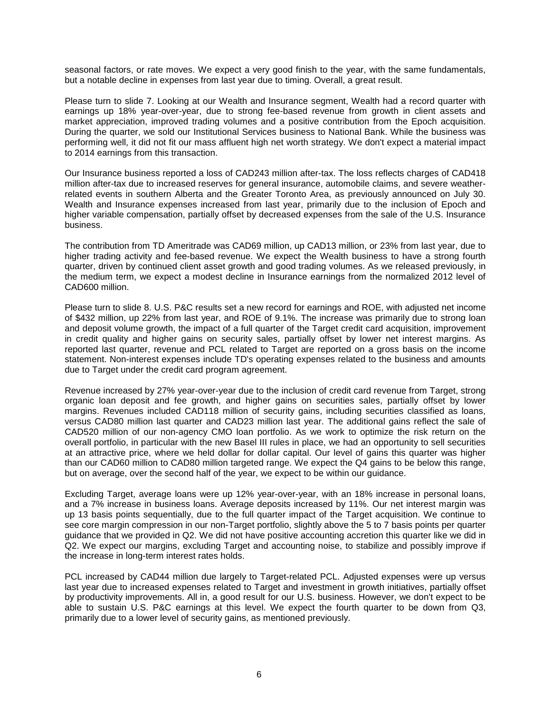seasonal factors, or rate moves. We expect a very good finish to the year, with the same fundamentals, but a notable decline in expenses from last year due to timing. Overall, a great result.

Please turn to slide 7. Looking at our Wealth and Insurance segment, Wealth had a record quarter with earnings up 18% year-over-year, due to strong fee-based revenue from growth in client assets and market appreciation, improved trading volumes and a positive contribution from the Epoch acquisition. During the quarter, we sold our Institutional Services business to National Bank. While the business was performing well, it did not fit our mass affluent high net worth strategy. We don't expect a material impact to 2014 earnings from this transaction.

Our Insurance business reported a loss of CAD243 million after-tax. The loss reflects charges of CAD418 million after-tax due to increased reserves for general insurance, automobile claims, and severe weatherrelated events in southern Alberta and the Greater Toronto Area, as previously announced on July 30. Wealth and Insurance expenses increased from last year, primarily due to the inclusion of Epoch and higher variable compensation, partially offset by decreased expenses from the sale of the U.S. Insurance business.

The contribution from TD Ameritrade was CAD69 million, up CAD13 million, or 23% from last year, due to higher trading activity and fee-based revenue. We expect the Wealth business to have a strong fourth quarter, driven by continued client asset growth and good trading volumes. As we released previously, in the medium term, we expect a modest decline in Insurance earnings from the normalized 2012 level of CAD600 million.

Please turn to slide 8. U.S. P&C results set a new record for earnings and ROE, with adjusted net income of \$432 million, up 22% from last year, and ROE of 9.1%. The increase was primarily due to strong loan and deposit volume growth, the impact of a full quarter of the Target credit card acquisition, improvement in credit quality and higher gains on security sales, partially offset by lower net interest margins. As reported last quarter, revenue and PCL related to Target are reported on a gross basis on the income statement. Non-interest expenses include TD's operating expenses related to the business and amounts due to Target under the credit card program agreement.

Revenue increased by 27% year-over-year due to the inclusion of credit card revenue from Target, strong organic loan deposit and fee growth, and higher gains on securities sales, partially offset by lower margins. Revenues included CAD118 million of security gains, including securities classified as loans, versus CAD80 million last quarter and CAD23 million last year. The additional gains reflect the sale of CAD520 million of our non-agency CMO loan portfolio. As we work to optimize the risk return on the overall portfolio, in particular with the new Basel III rules in place, we had an opportunity to sell securities at an attractive price, where we held dollar for dollar capital. Our level of gains this quarter was higher than our CAD60 million to CAD80 million targeted range. We expect the Q4 gains to be below this range, but on average, over the second half of the year, we expect to be within our guidance.

Excluding Target, average loans were up 12% year-over-year, with an 18% increase in personal loans, and a 7% increase in business loans. Average deposits increased by 11%. Our net interest margin was up 13 basis points sequentially, due to the full quarter impact of the Target acquisition. We continue to see core margin compression in our non-Target portfolio, slightly above the 5 to 7 basis points per quarter guidance that we provided in Q2. We did not have positive accounting accretion this quarter like we did in Q2. We expect our margins, excluding Target and accounting noise, to stabilize and possibly improve if the increase in long-term interest rates holds.

PCL increased by CAD44 million due largely to Target-related PCL. Adjusted expenses were up versus last year due to increased expenses related to Target and investment in growth initiatives, partially offset by productivity improvements. All in, a good result for our U.S. business. However, we don't expect to be able to sustain U.S. P&C earnings at this level. We expect the fourth quarter to be down from Q3, primarily due to a lower level of security gains, as mentioned previously.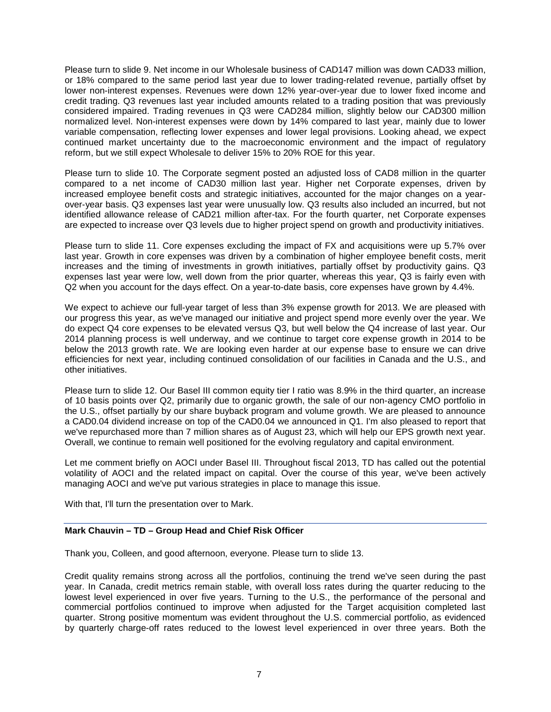Please turn to slide 9. Net income in our Wholesale business of CAD147 million was down CAD33 million, or 18% compared to the same period last year due to lower trading-related revenue, partially offset by lower non-interest expenses. Revenues were down 12% year-over-year due to lower fixed income and credit trading. Q3 revenues last year included amounts related to a trading position that was previously considered impaired. Trading revenues in Q3 were CAD284 million, slightly below our CAD300 million normalized level. Non-interest expenses were down by 14% compared to last year, mainly due to lower variable compensation, reflecting lower expenses and lower legal provisions. Looking ahead, we expect continued market uncertainty due to the macroeconomic environment and the impact of regulatory reform, but we still expect Wholesale to deliver 15% to 20% ROE for this year.

Please turn to slide 10. The Corporate segment posted an adjusted loss of CAD8 million in the quarter compared to a net income of CAD30 million last year. Higher net Corporate expenses, driven by increased employee benefit costs and strategic initiatives, accounted for the major changes on a yearover-year basis. Q3 expenses last year were unusually low. Q3 results also included an incurred, but not identified allowance release of CAD21 million after-tax. For the fourth quarter, net Corporate expenses are expected to increase over Q3 levels due to higher project spend on growth and productivity initiatives.

Please turn to slide 11. Core expenses excluding the impact of FX and acquisitions were up 5.7% over last year. Growth in core expenses was driven by a combination of higher employee benefit costs, merit increases and the timing of investments in growth initiatives, partially offset by productivity gains. Q3 expenses last year were low, well down from the prior quarter, whereas this year, Q3 is fairly even with Q2 when you account for the days effect. On a year-to-date basis, core expenses have grown by 4.4%.

We expect to achieve our full-year target of less than 3% expense growth for 2013. We are pleased with our progress this year, as we've managed our initiative and project spend more evenly over the year. We do expect Q4 core expenses to be elevated versus Q3, but well below the Q4 increase of last year. Our 2014 planning process is well underway, and we continue to target core expense growth in 2014 to be below the 2013 growth rate. We are looking even harder at our expense base to ensure we can drive efficiencies for next year, including continued consolidation of our facilities in Canada and the U.S., and other initiatives.

Please turn to slide 12. Our Basel III common equity tier I ratio was 8.9% in the third quarter, an increase of 10 basis points over Q2, primarily due to organic growth, the sale of our non-agency CMO portfolio in the U.S., offset partially by our share buyback program and volume growth. We are pleased to announce a CAD0.04 dividend increase on top of the CAD0.04 we announced in Q1. I'm also pleased to report that we've repurchased more than 7 million shares as of August 23, which will help our EPS growth next year. Overall, we continue to remain well positioned for the evolving regulatory and capital environment.

Let me comment briefly on AOCI under Basel III. Throughout fiscal 2013, TD has called out the potential volatility of AOCI and the related impact on capital. Over the course of this year, we've been actively managing AOCI and we've put various strategies in place to manage this issue.

With that, I'll turn the presentation over to Mark.

# **Mark Chauvin – TD – Group Head and Chief Risk Officer**

Thank you, Colleen, and good afternoon, everyone. Please turn to slide 13.

Credit quality remains strong across all the portfolios, continuing the trend we've seen during the past year. In Canada, credit metrics remain stable, with overall loss rates during the quarter reducing to the lowest level experienced in over five years. Turning to the U.S., the performance of the personal and commercial portfolios continued to improve when adjusted for the Target acquisition completed last quarter. Strong positive momentum was evident throughout the U.S. commercial portfolio, as evidenced by quarterly charge-off rates reduced to the lowest level experienced in over three years. Both the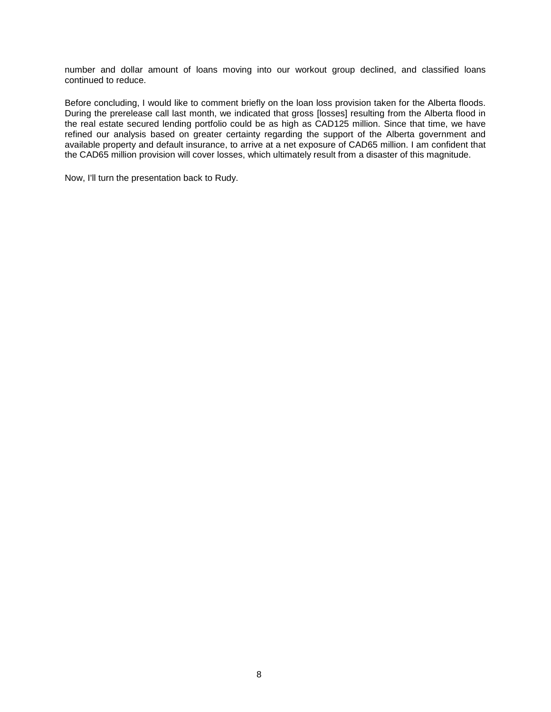number and dollar amount of loans moving into our workout group declined, and classified loans continued to reduce.

Before concluding, I would like to comment briefly on the loan loss provision taken for the Alberta floods. During the prerelease call last month, we indicated that gross [losses] resulting from the Alberta flood in the real estate secured lending portfolio could be as high as CAD125 million. Since that time, we have refined our analysis based on greater certainty regarding the support of the Alberta government and available property and default insurance, to arrive at a net exposure of CAD65 million. I am confident that the CAD65 million provision will cover losses, which ultimately result from a disaster of this magnitude.

Now, I'll turn the presentation back to Rudy.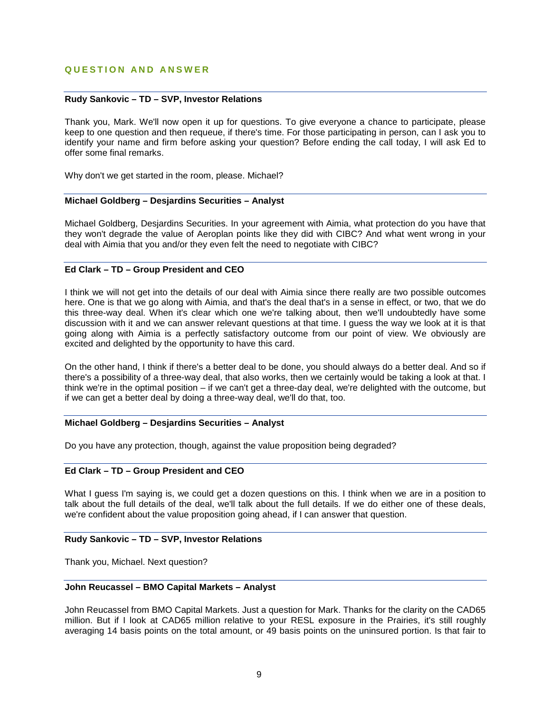# **Rudy Sankovic – TD – SVP, Investor Relations**

Thank you, Mark. We'll now open it up for questions. To give everyone a chance to participate, please keep to one question and then requeue, if there's time. For those participating in person, can I ask you to identify your name and firm before asking your question? Before ending the call today, I will ask Ed to offer some final remarks.

Why don't we get started in the room, please. Michael?

### **Michael Goldberg – Desjardins Securities – Analyst**

Michael Goldberg, Desjardins Securities. In your agreement with Aimia, what protection do you have that they won't degrade the value of Aeroplan points like they did with CIBC? And what went wrong in your deal with Aimia that you and/or they even felt the need to negotiate with CIBC?

# **Ed Clark – TD – Group President and CEO**

I think we will not get into the details of our deal with Aimia since there really are two possible outcomes here. One is that we go along with Aimia, and that's the deal that's in a sense in effect, or two, that we do this three-way deal. When it's clear which one we're talking about, then we'll undoubtedly have some discussion with it and we can answer relevant questions at that time. I guess the way we look at it is that going along with Aimia is a perfectly satisfactory outcome from our point of view. We obviously are excited and delighted by the opportunity to have this card.

On the other hand, I think if there's a better deal to be done, you should always do a better deal. And so if there's a possibility of a three-way deal, that also works, then we certainly would be taking a look at that. I think we're in the optimal position – if we can't get a three-day deal, we're delighted with the outcome, but if we can get a better deal by doing a three-way deal, we'll do that, too.

# **Michael Goldberg – Desjardins Securities – Analyst**

Do you have any protection, though, against the value proposition being degraded?

# **Ed Clark – TD – Group President and CEO**

What I guess I'm saying is, we could get a dozen questions on this. I think when we are in a position to talk about the full details of the deal, we'll talk about the full details. If we do either one of these deals, we're confident about the value proposition going ahead, if I can answer that question.

# **Rudy Sankovic – TD – SVP, Investor Relations**

Thank you, Michael. Next question?

### **John Reucassel – BMO Capital Markets – Analyst**

John Reucassel from BMO Capital Markets. Just a question for Mark. Thanks for the clarity on the CAD65 million. But if I look at CAD65 million relative to your RESL exposure in the Prairies, it's still roughly averaging 14 basis points on the total amount, or 49 basis points on the uninsured portion. Is that fair to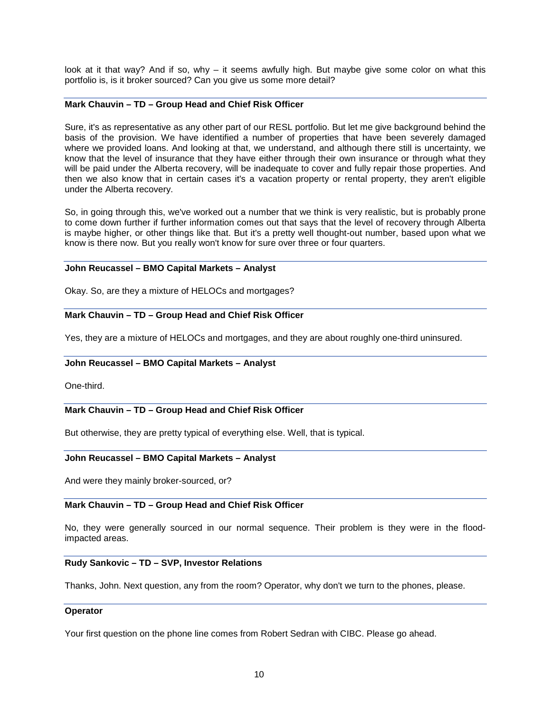look at it that way? And if so, why – it seems awfully high. But maybe give some color on what this portfolio is, is it broker sourced? Can you give us some more detail?

# **Mark Chauvin – TD – Group Head and Chief Risk Officer**

Sure, it's as representative as any other part of our RESL portfolio. But let me give background behind the basis of the provision. We have identified a number of properties that have been severely damaged where we provided loans. And looking at that, we understand, and although there still is uncertainty, we know that the level of insurance that they have either through their own insurance or through what they will be paid under the Alberta recovery, will be inadequate to cover and fully repair those properties. And then we also know that in certain cases it's a vacation property or rental property, they aren't eligible under the Alberta recovery.

So, in going through this, we've worked out a number that we think is very realistic, but is probably prone to come down further if further information comes out that says that the level of recovery through Alberta is maybe higher, or other things like that. But it's a pretty well thought-out number, based upon what we know is there now. But you really won't know for sure over three or four quarters.

# **John Reucassel – BMO Capital Markets – Analyst**

Okay. So, are they a mixture of HELOCs and mortgages?

# **Mark Chauvin – TD – Group Head and Chief Risk Officer**

Yes, they are a mixture of HELOCs and mortgages, and they are about roughly one-third uninsured.

# **John Reucassel – BMO Capital Markets – Analyst**

One-third.

# **Mark Chauvin – TD – Group Head and Chief Risk Officer**

But otherwise, they are pretty typical of everything else. Well, that is typical.

# **John Reucassel – BMO Capital Markets – Analyst**

And were they mainly broker-sourced, or?

# **Mark Chauvin – TD – Group Head and Chief Risk Officer**

No, they were generally sourced in our normal sequence. Their problem is they were in the floodimpacted areas.

# **Rudy Sankovic – TD – SVP, Investor Relations**

Thanks, John. Next question, any from the room? Operator, why don't we turn to the phones, please.

# **Operator**

Your first question on the phone line comes from Robert Sedran with CIBC. Please go ahead.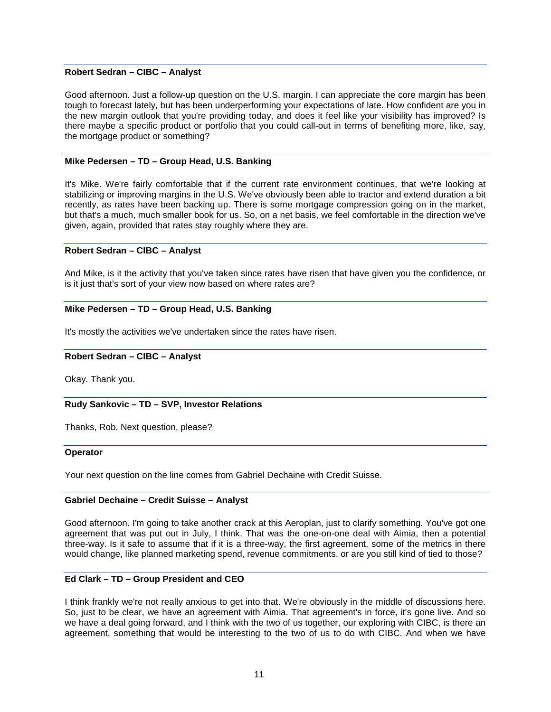### **Robert Sedran – CIBC – Analyst**

Good afternoon. Just a follow-up question on the U.S. margin. I can appreciate the core margin has been tough to forecast lately, but has been underperforming your expectations of late. How confident are you in the new margin outlook that you're providing today, and does it feel like your visibility has improved? Is there maybe a specific product or portfolio that you could call-out in terms of benefiting more, like, say, the mortgage product or something?

### **Mike Pedersen – TD – Group Head, U.S. Banking**

It's Mike. We're fairly comfortable that if the current rate environment continues, that we're looking at stabilizing or improving margins in the U.S. We've obviously been able to tractor and extend duration a bit recently, as rates have been backing up. There is some mortgage compression going on in the market, but that's a much, much smaller book for us. So, on a net basis, we feel comfortable in the direction we've given, again, provided that rates stay roughly where they are.

### **Robert Sedran – CIBC – Analyst**

And Mike, is it the activity that you've taken since rates have risen that have given you the confidence, or is it just that's sort of your view now based on where rates are?

### **Mike Pedersen – TD – Group Head, U.S. Banking**

It's mostly the activities we've undertaken since the rates have risen.

### **Robert Sedran – CIBC – Analyst**

Okay. Thank you.

# **Rudy Sankovic – TD – SVP, Investor Relations**

Thanks, Rob. Next question, please?

### **Operator**

Your next question on the line comes from Gabriel Dechaine with Credit Suisse.

### **Gabriel Dechaine – Credit Suisse – Analyst**

Good afternoon. I'm going to take another crack at this Aeroplan, just to clarify something. You've got one agreement that was put out in July, I think. That was the one-on-one deal with Aimia, then a potential three-way. Is it safe to assume that if it is a three-way, the first agreement, some of the metrics in there would change, like planned marketing spend, revenue commitments, or are you still kind of tied to those?

### **Ed Clark – TD – Group President and CEO**

I think frankly we're not really anxious to get into that. We're obviously in the middle of discussions here. So, just to be clear, we have an agreement with Aimia. That agreement's in force, it's gone live. And so we have a deal going forward, and I think with the two of us together, our exploring with CIBC, is there an agreement, something that would be interesting to the two of us to do with CIBC. And when we have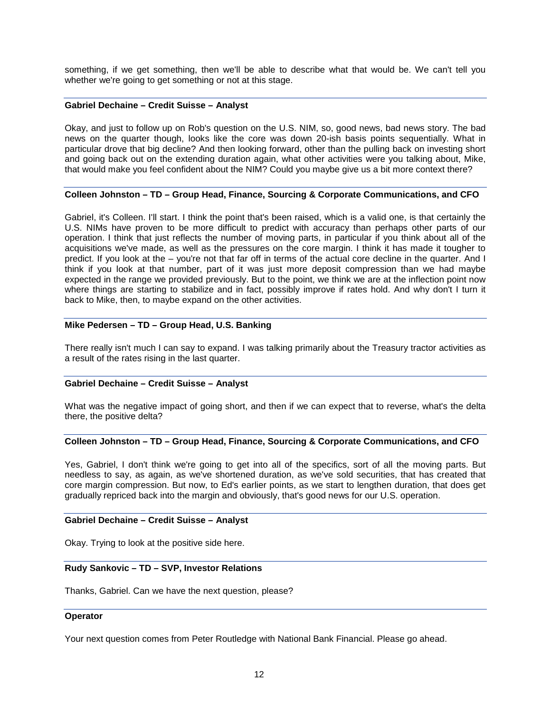something, if we get something, then we'll be able to describe what that would be. We can't tell you whether we're going to get something or not at this stage.

# **Gabriel Dechaine – Credit Suisse – Analyst**

Okay, and just to follow up on Rob's question on the U.S. NIM, so, good news, bad news story. The bad news on the quarter though, looks like the core was down 20-ish basis points sequentially. What in particular drove that big decline? And then looking forward, other than the pulling back on investing short and going back out on the extending duration again, what other activities were you talking about, Mike, that would make you feel confident about the NIM? Could you maybe give us a bit more context there?

# **Colleen Johnston – TD – Group Head, Finance, Sourcing & Corporate Communications, and CFO**

Gabriel, it's Colleen. I'll start. I think the point that's been raised, which is a valid one, is that certainly the U.S. NIMs have proven to be more difficult to predict with accuracy than perhaps other parts of our operation. I think that just reflects the number of moving parts, in particular if you think about all of the acquisitions we've made, as well as the pressures on the core margin. I think it has made it tougher to predict. If you look at the – you're not that far off in terms of the actual core decline in the quarter. And I think if you look at that number, part of it was just more deposit compression than we had maybe expected in the range we provided previously. But to the point, we think we are at the inflection point now where things are starting to stabilize and in fact, possibly improve if rates hold. And why don't I turn it back to Mike, then, to maybe expand on the other activities.

### **Mike Pedersen – TD – Group Head, U.S. Banking**

There really isn't much I can say to expand. I was talking primarily about the Treasury tractor activities as a result of the rates rising in the last quarter.

### **Gabriel Dechaine – Credit Suisse – Analyst**

What was the negative impact of going short, and then if we can expect that to reverse, what's the delta there, the positive delta?

# **Colleen Johnston – TD – Group Head, Finance, Sourcing & Corporate Communications, and CFO**

Yes, Gabriel, I don't think we're going to get into all of the specifics, sort of all the moving parts. But needless to say, as again, as we've shortened duration, as we've sold securities, that has created that core margin compression. But now, to Ed's earlier points, as we start to lengthen duration, that does get gradually repriced back into the margin and obviously, that's good news for our U.S. operation.

### **Gabriel Dechaine – Credit Suisse – Analyst**

Okay. Trying to look at the positive side here.

# **Rudy Sankovic – TD – SVP, Investor Relations**

Thanks, Gabriel. Can we have the next question, please?

#### **Operator**

Your next question comes from Peter Routledge with National Bank Financial. Please go ahead.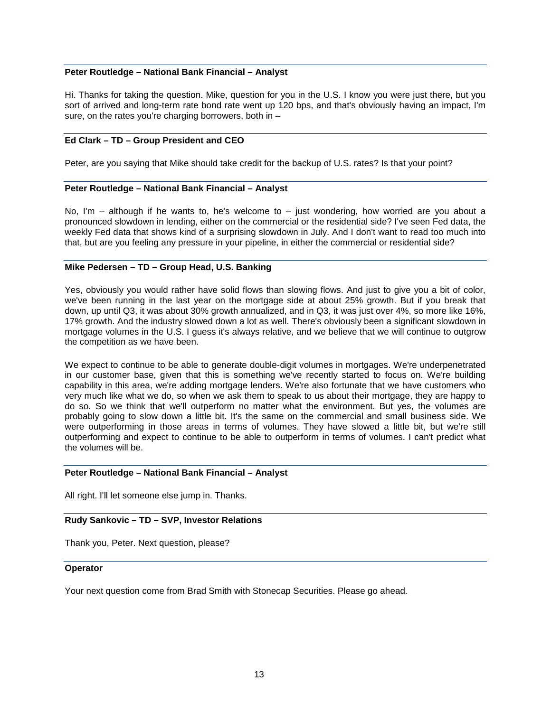### **Peter Routledge – National Bank Financial – Analyst**

Hi. Thanks for taking the question. Mike, question for you in the U.S. I know you were just there, but you sort of arrived and long-term rate bond rate went up 120 bps, and that's obviously having an impact, I'm sure, on the rates you're charging borrowers, both in –

# **Ed Clark – TD – Group President and CEO**

Peter, are you saying that Mike should take credit for the backup of U.S. rates? Is that your point?

### **Peter Routledge – National Bank Financial – Analyst**

No, I'm  $-$  although if he wants to, he's welcome to  $-$  just wondering, how worried are you about a pronounced slowdown in lending, either on the commercial or the residential side? I've seen Fed data, the weekly Fed data that shows kind of a surprising slowdown in July. And I don't want to read too much into that, but are you feeling any pressure in your pipeline, in either the commercial or residential side?

# **Mike Pedersen – TD – Group Head, U.S. Banking**

Yes, obviously you would rather have solid flows than slowing flows. And just to give you a bit of color, we've been running in the last year on the mortgage side at about 25% growth. But if you break that down, up until Q3, it was about 30% growth annualized, and in Q3, it was just over 4%, so more like 16%, 17% growth. And the industry slowed down a lot as well. There's obviously been a significant slowdown in mortgage volumes in the U.S. I guess it's always relative, and we believe that we will continue to outgrow the competition as we have been.

We expect to continue to be able to generate double-digit volumes in mortgages. We're underpenetrated in our customer base, given that this is something we've recently started to focus on. We're building capability in this area, we're adding mortgage lenders. We're also fortunate that we have customers who very much like what we do, so when we ask them to speak to us about their mortgage, they are happy to do so. So we think that we'll outperform no matter what the environment. But yes, the volumes are probably going to slow down a little bit. It's the same on the commercial and small business side. We were outperforming in those areas in terms of volumes. They have slowed a little bit, but we're still outperforming and expect to continue to be able to outperform in terms of volumes. I can't predict what the volumes will be.

### **Peter Routledge – National Bank Financial – Analyst**

All right. I'll let someone else jump in. Thanks.

### **Rudy Sankovic – TD – SVP, Investor Relations**

Thank you, Peter. Next question, please?

### **Operator**

Your next question come from Brad Smith with Stonecap Securities. Please go ahead.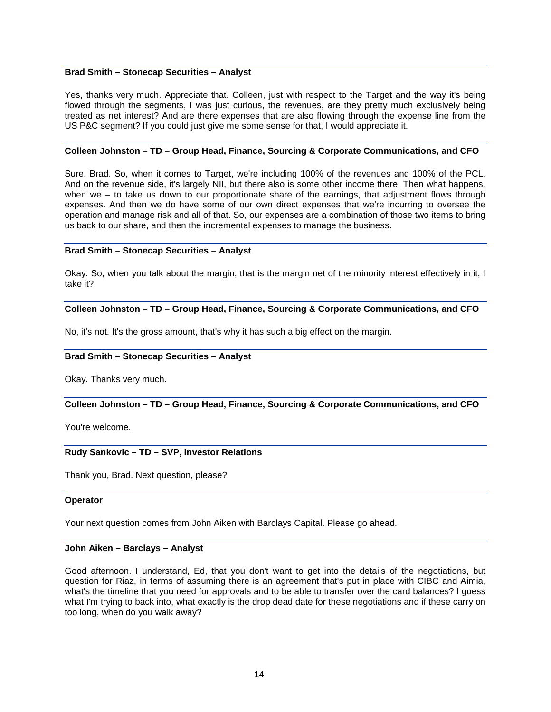### **Brad Smith – Stonecap Securities – Analyst**

Yes, thanks very much. Appreciate that. Colleen, just with respect to the Target and the way it's being flowed through the segments, I was just curious, the revenues, are they pretty much exclusively being treated as net interest? And are there expenses that are also flowing through the expense line from the US P&C segment? If you could just give me some sense for that, I would appreciate it.

### **Colleen Johnston – TD – Group Head, Finance, Sourcing & Corporate Communications, and CFO**

Sure, Brad. So, when it comes to Target, we're including 100% of the revenues and 100% of the PCL. And on the revenue side, it's largely NII, but there also is some other income there. Then what happens, when we – to take us down to our proportionate share of the earnings, that adjustment flows through expenses. And then we do have some of our own direct expenses that we're incurring to oversee the operation and manage risk and all of that. So, our expenses are a combination of those two items to bring us back to our share, and then the incremental expenses to manage the business.

### **Brad Smith – Stonecap Securities – Analyst**

Okay. So, when you talk about the margin, that is the margin net of the minority interest effectively in it, I take it?

### **Colleen Johnston – TD – Group Head, Finance, Sourcing & Corporate Communications, and CFO**

No, it's not. It's the gross amount, that's why it has such a big effect on the margin.

### **Brad Smith – Stonecap Securities – Analyst**

Okay. Thanks very much.

# **Colleen Johnston – TD – Group Head, Finance, Sourcing & Corporate Communications, and CFO**

You're welcome.

### **Rudy Sankovic – TD – SVP, Investor Relations**

Thank you, Brad. Next question, please?

### **Operator**

Your next question comes from John Aiken with Barclays Capital. Please go ahead.

### **John Aiken – Barclays – Analyst**

Good afternoon. I understand, Ed, that you don't want to get into the details of the negotiations, but question for Riaz, in terms of assuming there is an agreement that's put in place with CIBC and Aimia, what's the timeline that you need for approvals and to be able to transfer over the card balances? I guess what I'm trying to back into, what exactly is the drop dead date for these negotiations and if these carry on too long, when do you walk away?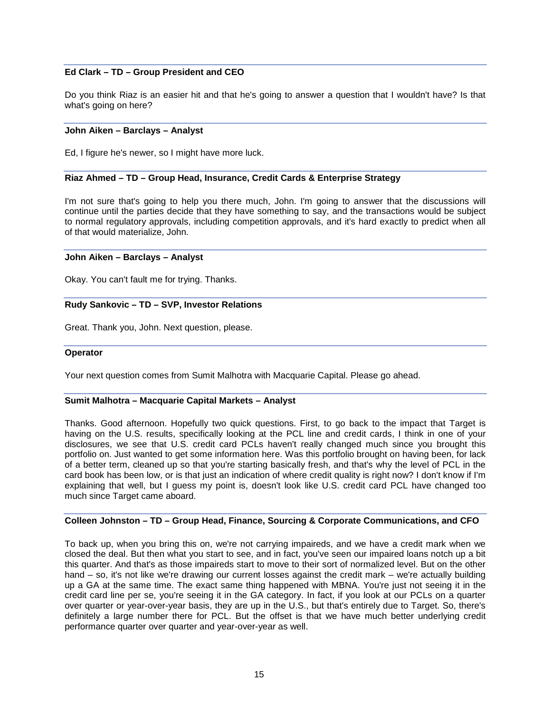# **Ed Clark – TD – Group President and CEO**

Do you think Riaz is an easier hit and that he's going to answer a question that I wouldn't have? Is that what's going on here?

### **John Aiken – Barclays – Analyst**

Ed, I figure he's newer, so I might have more luck.

### **Riaz Ahmed – TD – Group Head, Insurance, Credit Cards & Enterprise Strategy**

I'm not sure that's going to help you there much, John. I'm going to answer that the discussions will continue until the parties decide that they have something to say, and the transactions would be subject to normal regulatory approvals, including competition approvals, and it's hard exactly to predict when all of that would materialize, John.

### **John Aiken – Barclays – Analyst**

Okay. You can't fault me for trying. Thanks.

### **Rudy Sankovic – TD – SVP, Investor Relations**

Great. Thank you, John. Next question, please.

### **Operator**

Your next question comes from Sumit Malhotra with Macquarie Capital. Please go ahead.

# **Sumit Malhotra – Macquarie Capital Markets – Analyst**

Thanks. Good afternoon. Hopefully two quick questions. First, to go back to the impact that Target is having on the U.S. results, specifically looking at the PCL line and credit cards, I think in one of your disclosures, we see that U.S. credit card PCLs haven't really changed much since you brought this portfolio on. Just wanted to get some information here. Was this portfolio brought on having been, for lack of a better term, cleaned up so that you're starting basically fresh, and that's why the level of PCL in the card book has been low, or is that just an indication of where credit quality is right now? I don't know if I'm explaining that well, but I guess my point is, doesn't look like U.S. credit card PCL have changed too much since Target came aboard.

# **Colleen Johnston – TD – Group Head, Finance, Sourcing & Corporate Communications, and CFO**

To back up, when you bring this on, we're not carrying impaireds, and we have a credit mark when we closed the deal. But then what you start to see, and in fact, you've seen our impaired loans notch up a bit this quarter. And that's as those impaireds start to move to their sort of normalized level. But on the other hand – so, it's not like we're drawing our current losses against the credit mark – we're actually building up a GA at the same time. The exact same thing happened with MBNA. You're just not seeing it in the credit card line per se, you're seeing it in the GA category. In fact, if you look at our PCLs on a quarter over quarter or year-over-year basis, they are up in the U.S., but that's entirely due to Target. So, there's definitely a large number there for PCL. But the offset is that we have much better underlying credit performance quarter over quarter and year-over-year as well.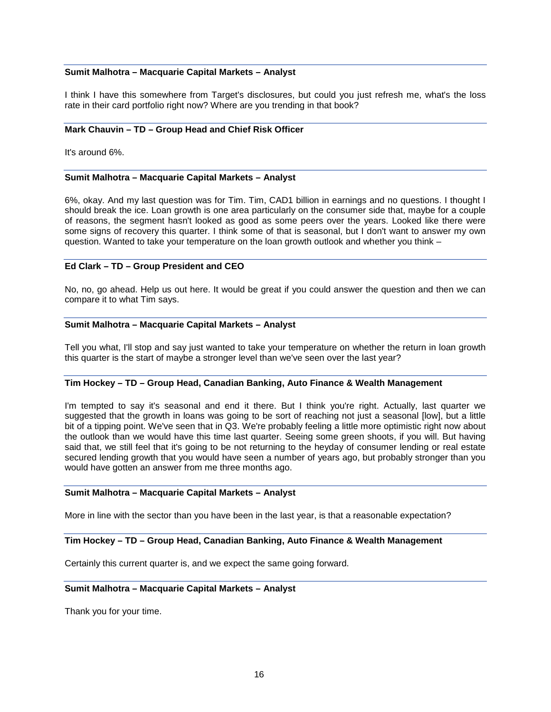# **Sumit Malhotra – Macquarie Capital Markets – Analyst**

I think I have this somewhere from Target's disclosures, but could you just refresh me, what's the loss rate in their card portfolio right now? Where are you trending in that book?

# **Mark Chauvin – TD – Group Head and Chief Risk Officer**

It's around 6%.

### **Sumit Malhotra – Macquarie Capital Markets – Analyst**

6%, okay. And my last question was for Tim. Tim, CAD1 billion in earnings and no questions. I thought I should break the ice. Loan growth is one area particularly on the consumer side that, maybe for a couple of reasons, the segment hasn't looked as good as some peers over the years. Looked like there were some signs of recovery this quarter. I think some of that is seasonal, but I don't want to answer my own question. Wanted to take your temperature on the loan growth outlook and whether you think –

# **Ed Clark – TD – Group President and CEO**

No, no, go ahead. Help us out here. It would be great if you could answer the question and then we can compare it to what Tim says.

### **Sumit Malhotra – Macquarie Capital Markets – Analyst**

Tell you what, I'll stop and say just wanted to take your temperature on whether the return in loan growth this quarter is the start of maybe a stronger level than we've seen over the last year?

### **Tim Hockey – TD – Group Head, Canadian Banking, Auto Finance & Wealth Management**

I'm tempted to say it's seasonal and end it there. But I think you're right. Actually, last quarter we suggested that the growth in loans was going to be sort of reaching not just a seasonal [low], but a little bit of a tipping point. We've seen that in Q3. We're probably feeling a little more optimistic right now about the outlook than we would have this time last quarter. Seeing some green shoots, if you will. But having said that, we still feel that it's going to be not returning to the heyday of consumer lending or real estate secured lending growth that you would have seen a number of years ago, but probably stronger than you would have gotten an answer from me three months ago.

### **Sumit Malhotra – Macquarie Capital Markets – Analyst**

More in line with the sector than you have been in the last year, is that a reasonable expectation?

# **Tim Hockey – TD – Group Head, Canadian Banking, Auto Finance & Wealth Management**

Certainly this current quarter is, and we expect the same going forward.

# **Sumit Malhotra – Macquarie Capital Markets – Analyst**

Thank you for your time.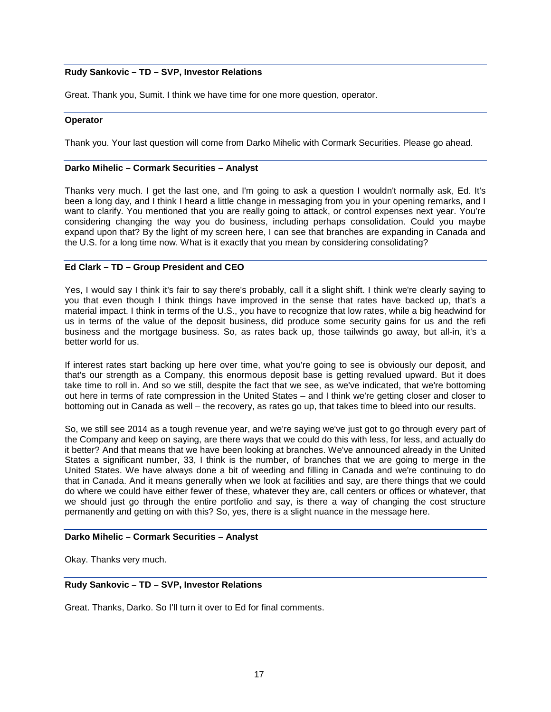# **Rudy Sankovic – TD – SVP, Investor Relations**

Great. Thank you, Sumit. I think we have time for one more question, operator.

### **Operator**

Thank you. Your last question will come from Darko Mihelic with Cormark Securities. Please go ahead.

### **Darko Mihelic – Cormark Securities – Analyst**

Thanks very much. I get the last one, and I'm going to ask a question I wouldn't normally ask, Ed. It's been a long day, and I think I heard a little change in messaging from you in your opening remarks, and I want to clarify. You mentioned that you are really going to attack, or control expenses next year. You're considering changing the way you do business, including perhaps consolidation. Could you maybe expand upon that? By the light of my screen here, I can see that branches are expanding in Canada and the U.S. for a long time now. What is it exactly that you mean by considering consolidating?

# **Ed Clark – TD – Group President and CEO**

Yes, I would say I think it's fair to say there's probably, call it a slight shift. I think we're clearly saying to you that even though I think things have improved in the sense that rates have backed up, that's a material impact. I think in terms of the U.S., you have to recognize that low rates, while a big headwind for us in terms of the value of the deposit business, did produce some security gains for us and the refi business and the mortgage business. So, as rates back up, those tailwinds go away, but all-in, it's a better world for us.

If interest rates start backing up here over time, what you're going to see is obviously our deposit, and that's our strength as a Company, this enormous deposit base is getting revalued upward. But it does take time to roll in. And so we still, despite the fact that we see, as we've indicated, that we're bottoming out here in terms of rate compression in the United States – and I think we're getting closer and closer to bottoming out in Canada as well – the recovery, as rates go up, that takes time to bleed into our results.

So, we still see 2014 as a tough revenue year, and we're saying we've just got to go through every part of the Company and keep on saying, are there ways that we could do this with less, for less, and actually do it better? And that means that we have been looking at branches. We've announced already in the United States a significant number, 33, I think is the number, of branches that we are going to merge in the United States. We have always done a bit of weeding and filling in Canada and we're continuing to do that in Canada. And it means generally when we look at facilities and say, are there things that we could do where we could have either fewer of these, whatever they are, call centers or offices or whatever, that we should just go through the entire portfolio and say, is there a way of changing the cost structure permanently and getting on with this? So, yes, there is a slight nuance in the message here.

# **Darko Mihelic – Cormark Securities – Analyst**

Okay. Thanks very much.

# **Rudy Sankovic – TD – SVP, Investor Relations**

Great. Thanks, Darko. So I'll turn it over to Ed for final comments.